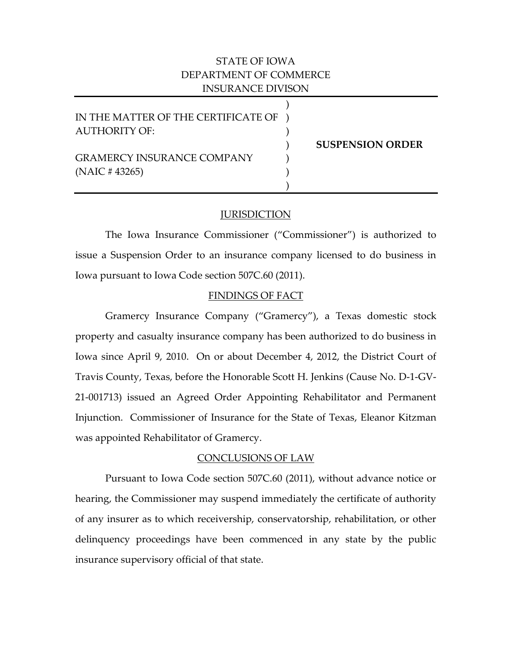# STATE OF IOWA DEPARTMENT OF COMMERCE INSURANCE DIVISON

| IN THE MATTER OF THE CERTIFICATE OF |                         |
|-------------------------------------|-------------------------|
| <b>AUTHORITY OF:</b>                |                         |
|                                     | <b>SUSPENSION ORDER</b> |
| <b>GRAMERCY INSURANCE COMPANY</b>   |                         |
| $(NAIC \# 43265)$                   |                         |
|                                     |                         |

## JURISDICTION

The Iowa Insurance Commissioner ("Commissioner") is authorized to issue a Suspension Order to an insurance company licensed to do business in Iowa pursuant to Iowa Code section 507C.60 (2011).

## FINDINGS OF FACT

Gramercy Insurance Company ("Gramercy"), a Texas domestic stock property and casualty insurance company has been authorized to do business in Iowa since April 9, 2010. On or about December 4, 2012, the District Court of Travis County, Texas, before the Honorable Scott H. Jenkins (Cause No. D-1-GV-21-001713) issued an Agreed Order Appointing Rehabilitator and Permanent Injunction. Commissioner of Insurance for the State of Texas, Eleanor Kitzman was appointed Rehabilitator of Gramercy.

# CONCLUSIONS OF LAW

Pursuant to Iowa Code section 507C.60 (2011), without advance notice or hearing, the Commissioner may suspend immediately the certificate of authority of any insurer as to which receivership, conservatorship, rehabilitation, or other delinquency proceedings have been commenced in any state by the public insurance supervisory official of that state.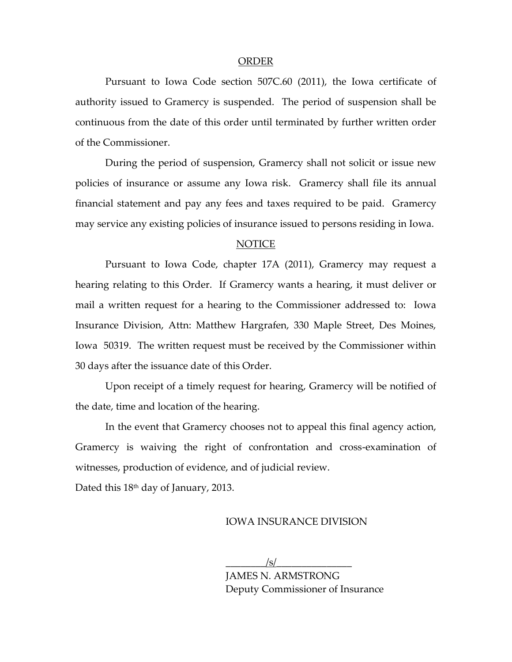### ORDER

Pursuant to Iowa Code section 507C.60 (2011), the Iowa certificate of authority issued to Gramercy is suspended. The period of suspension shall be continuous from the date of this order until terminated by further written order of the Commissioner.

During the period of suspension, Gramercy shall not solicit or issue new policies of insurance or assume any Iowa risk. Gramercy shall file its annual financial statement and pay any fees and taxes required to be paid. Gramercy may service any existing policies of insurance issued to persons residing in Iowa.

#### NOTICE

Pursuant to Iowa Code, chapter 17A (2011), Gramercy may request a hearing relating to this Order. If Gramercy wants a hearing, it must deliver or mail a written request for a hearing to the Commissioner addressed to: Iowa Insurance Division, Attn: Matthew Hargrafen, 330 Maple Street, Des Moines, Iowa 50319. The written request must be received by the Commissioner within 30 days after the issuance date of this Order.

Upon receipt of a timely request for hearing, Gramercy will be notified of the date, time and location of the hearing.

In the event that Gramercy chooses not to appeal this final agency action, Gramercy is waiving the right of confrontation and cross-examination of witnesses, production of evidence, and of judicial review.

Dated this 18<sup>th</sup> day of January, 2013.

### IOWA INSURANCE DIVISION

 $\frac{|s|}{s}$ JAMES N. ARMSTRONG Deputy Commissioner of Insurance